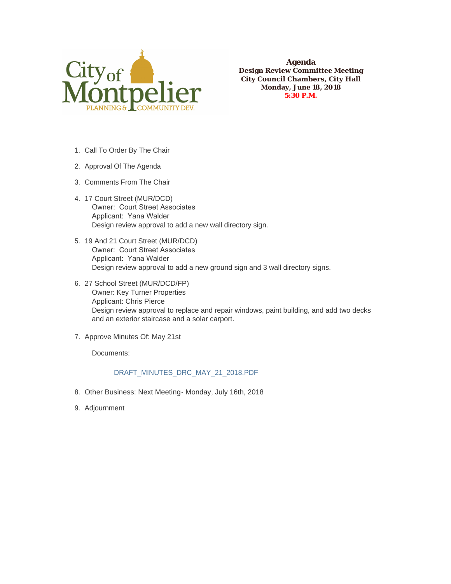

**Agenda Design Review Committee Meeting City Council Chambers, City Hall Monday, June 18, 2018 5:30 P.M.**

- 1. Call To Order By The Chair
- 2. Approval Of The Agenda
- 3. Comments From The Chair
- 17 Court Street (MUR/DCD) 4. Owner: Court Street Associates Applicant: Yana Walder Design review approval to add a new wall directory sign.
- 19 And 21 Court Street (MUR/DCD) 5. Owner: Court Street Associates Applicant: Yana Walder Design review approval to add a new ground sign and 3 wall directory signs.
- 27 School Street (MUR/DCD/FP) 6. Owner: Key Turner Properties Applicant: Chris Pierce Design review approval to replace and repair windows, paint building, and add two decks and an exterior staircase and a solar carport.
- 7. Approve Minutes Of: May 21st

Documents:

## DRAFT\_MINUTES\_DRC\_MAY\_21\_2018.PDF

- Other Business: Next Meeting- Monday, July 16th, 2018 8.
- 9. Adjournment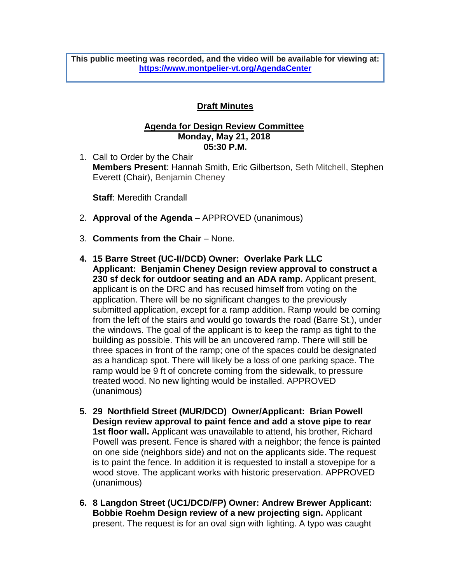**This public meeting was recorded, and the video will be available for viewing at: <https://www.montpelier-vt.org/AgendaCenter>**

## **Draft Minutes**

## **Agenda for Design Review Committee Monday, May 21, 2018 05:30 P.M.**

1. Call to Order by the Chair **Members Present**: Hannah Smith, Eric Gilbertson, Seth Mitchell, Stephen Everett (Chair), Benjamin Cheney

**Staff**: Meredith Crandall

- 2. **Approval of the Agenda** APPROVED (unanimous)
- 3. **Comments from the Chair** None.
- **4. 15 Barre Street (UC-II/DCD) Owner: Overlake Park LLC Applicant: Benjamin Cheney Design review approval to construct a 230 sf deck for outdoor seating and an ADA ramp.** Applicant present, applicant is on the DRC and has recused himself from voting on the application. There will be no significant changes to the previously submitted application, except for a ramp addition. Ramp would be coming from the left of the stairs and would go towards the road (Barre St.), under the windows. The goal of the applicant is to keep the ramp as tight to the building as possible. This will be an uncovered ramp. There will still be three spaces in front of the ramp; one of the spaces could be designated as a handicap spot. There will likely be a loss of one parking space. The ramp would be 9 ft of concrete coming from the sidewalk, to pressure treated wood. No new lighting would be installed. APPROVED (unanimous)
- **5. 29 Northfield Street (MUR/DCD) Owner/Applicant: Brian Powell Design review approval to paint fence and add a stove pipe to rear 1st floor wall.** Applicant was unavailable to attend, his brother, Richard Powell was present. Fence is shared with a neighbor; the fence is painted on one side (neighbors side) and not on the applicants side. The request is to paint the fence. In addition it is requested to install a stovepipe for a wood stove. The applicant works with historic preservation. APPROVED (unanimous)
- **6. 8 Langdon Street (UC1/DCD/FP) Owner: Andrew Brewer Applicant: Bobbie Roehm Design review of a new projecting sign.** Applicant present. The request is for an oval sign with lighting. A typo was caught